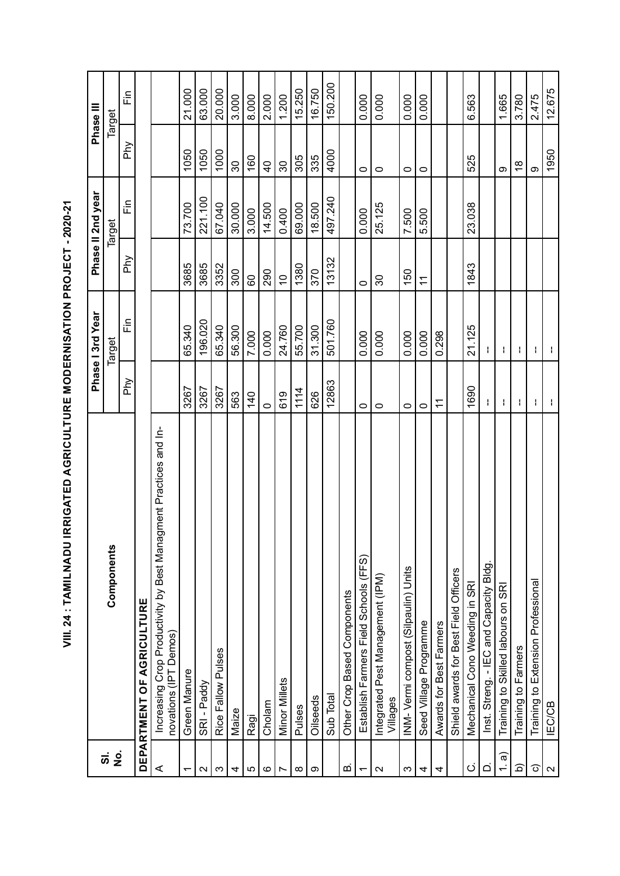|                          |                                                                                           |              | Phase I 3rd Year |             | Phase II 2nd year |                 | Phase III |
|--------------------------|-------------------------------------------------------------------------------------------|--------------|------------------|-------------|-------------------|-----------------|-----------|
| $\vec{a}$ $\vec{2}$      | Components                                                                                |              | Target           |             | Target            |                 | Target    |
|                          |                                                                                           | Phy          | Ξi               | Phy         | i٣                | Phy             | 后         |
|                          | DEPARTMENT OF AGRICULTURE                                                                 |              |                  |             |                   |                 |           |
| ⋖                        | Increasing Crop Productivity by Best Managment Practices and In-<br>novations (IPT Demos) |              |                  |             |                   |                 |           |
| $\overline{\phantom{0}}$ | Green Manure                                                                              | 3267         | 65.340           | 3685        | 73.700            | 1050            | 21.000    |
| $\mathbf{\Omega}$        | SRI-Paddy                                                                                 | 3267         | 196.020          | 3685        | 221.100           | 1050            | 63.000    |
| ო                        | Rice Fallow Pulses                                                                        | 3267         | 65.340           | 3352        | 67.040            | 1000            | 20.000    |
| 4                        | Maize                                                                                     | 563          | 56.300           | 300         | 30.000            | $30\,$          | 3.000     |
| 5                        | Ragi                                                                                      | 140          | 7.000            | 8           | 3.000             | 160             | 8.000     |
| $\circ$                  | Cholam                                                                                    | $\circ$      | 0.000            | 290         | 14.500            | $\overline{4}$  | 2.000     |
| Ľ                        | Minor Millets                                                                             | 619          | 24.760           | $\tilde{a}$ | 0.400             | $\overline{30}$ | 1.200     |
| $\infty$                 | Pulses                                                                                    | 1114         | 55.700           | 1380        | 69.000            | 305             | 15.250    |
| ၜ                        | Oilseeds                                                                                  | 626          | 31.300           | 370         | 18.500            | 335             | 16.750    |
|                          | Sub Total                                                                                 | 12863        | 501.760          | 13132       | 497.240           | 4000            | 150.200   |
| m                        | Other Crop Based Components                                                               |              |                  |             |                   |                 |           |
| $\overline{\phantom{0}}$ | Establish Farmers Field Schools (FFS)                                                     | O            | 0.000            | $\circ$     | 0.000             | 0               | 0.000     |
| $\sim$                   | Integrated Pest Management (IPM)<br>Villages                                              | $\circ$      | 0.000            | 80          | 25.125            | $\circ$         | 0.000     |
| S                        | INM-Vermi compost (Silpaulin) Units                                                       | $\circ$      | 0.000            | 150         | 7.500             | $\circ$         | 0.000     |
| 4                        | Seed Village Programme                                                                    | $\circ$      | 0.000            | $\tilde{+}$ | 5.500             | $\circ$         | 0.000     |
| 4                        | Awards for Best Farmers                                                                   | $\tilde{+}$  | 0.298            |             |                   |                 |           |
|                          | Shield awards for Best Field Officers                                                     |              |                  |             |                   |                 |           |
| ن                        | Mechanical Cono Weeding in SRI                                                            | 1690         | 21.125           | 1843        | 23.038            | 525             | 6.563     |
| $\overline{\mathsf{C}}$  | Inst. Streng. - IEC and Capacity Bldg.                                                    | $\mathbf{H}$ | $\mathbf{H}$     |             |                   |                 |           |
| 1. a)                    | Training to Skilled labours on SRI                                                        | Ŧ.           | Ŧ.               |             |                   | တ               | 1.665     |
| <u>ବ</u>                 | Training to Farmers                                                                       | $\mathbf{L}$ | $\mathbf{L}$     |             |                   | $\frac{8}{10}$  | 3.780     |
| $\widehat{\circ}$        | Training to Extension Professional                                                        | ł            | ł,               |             |                   | တ               | 2.475     |
| $\mathbf{\Omega}$        | IEC/CB                                                                                    | J.           | $\mathbf{I}$     |             |                   | 1950            | 12.675    |

VIII. 24 : TAMILNADU IRRIGATED AGRICULTURE MODERNISATION PROJECT - 2020-21 **VIII. 24 : TAMILNADU IRRIGATED AGRICULTURE MODERNISATION PROJECT - 2020-21**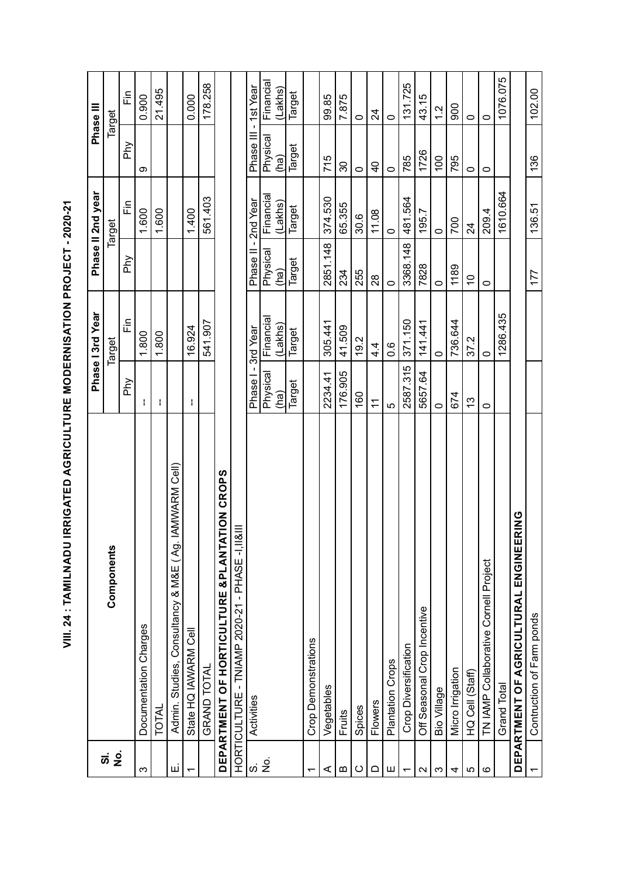|                                      |                                                       |                         | Phase I 3rd Year |                            | Phase II 2nd year |                          | Phase III      |
|--------------------------------------|-------------------------------------------------------|-------------------------|------------------|----------------------------|-------------------|--------------------------|----------------|
| $\frac{1}{2}$<br>$\dot{\bar{\bf 5}}$ | Components                                            |                         | Target           |                            | Target            |                          | Target         |
|                                      |                                                       | Phy                     | i٣               | Phy                        | iΞ                | Phy                      | i٣             |
| S                                    | Documentation Charges                                 | J.                      | 1.800            |                            | 1.600             | တ                        | 0.900          |
|                                      | TOTAL                                                 | ł                       | 1.800            |                            | 1.600             |                          | 21.495         |
| щ                                    | AMWARM Cell<br>Admin. Studies, Consultancy & M&E (Ag. |                         |                  |                            |                   |                          |                |
| ۳                                    | State HQ IAWARM Cell                                  | ł.                      | 16.924           |                            | 1.400             |                          | 0.000          |
|                                      | <b>GRAND TOTAL</b>                                    |                         | 541.907          |                            | 561.403           |                          | 178.258        |
|                                      | TION CROPS<br>DEPARTMENT OF HORTICULTURE &PLANTA      |                         |                  |                            |                   |                          |                |
|                                      | HORTICULTURE - TNIAMP 2020-21 - PHASE - I, II&III     |                         |                  |                            |                   |                          |                |
| $\omega \frac{1}{2}$                 | Activities                                            | $\blacksquare$<br>Phase | 3rd Year         | $\blacksquare$<br>Phase II | 2nd Year          | $\mathbf{I}$<br>Phase II | 1st Year       |
|                                      |                                                       | Physical                | Financial        | Physical                   | Financial         | Physical                 | Financial      |
|                                      |                                                       | e)<br>C                 | (Lakhs)          | (ha)                       | (Lakhs)           | (ha)                     | Lakhs)         |
|                                      |                                                       | Target                  | Target           | Target                     | Target            | Target                   | Target         |
|                                      | Crop Demonstrations                                   |                         |                  |                            |                   |                          |                |
| ⋖                                    | Vegetables                                            | 2234.41                 | 305.441          | 2851.148                   | 374.530           | 715                      | 99.85          |
| $\bf{m}$                             | Fruits                                                | 176.905                 | 41.509           | 234                        | 65.355            | 30                       | 7.875          |
| $\circ$                              | Spices                                                | 160                     | 19.2             | 255                        | 30.6              | $\circ$                  | $\circ$        |
| $\Omega$                             | Flowers                                               | $\overline{\mathbf{r}}$ | 4.4              | 28                         | 11.08             | $\overline{4}$           | $\overline{2}$ |
| ш                                    | Plantation Crops                                      | 5                       | 0.6              | $\circ$                    | $\circ$           | $\circ$                  | $\circ$        |
|                                      | Crop Diversification                                  | 2587.315                | 150<br>371       | 3368.148                   | 481.564           | 785                      | 131.725        |
| $\mathbf{\sim}$                      | Off Seasonal Crop Incentive                           | 5657.64                 | 141.441          | 7828                       | 195.7             | 1726                     | 43.15          |
| ო                                    | <b>Bio Village</b>                                    | $\circ$                 | $\circ$          | $\circ$                    | $\circ$           | 100                      | $\frac{2}{1}$  |
| 4                                    | Micro Irrigation                                      | 674                     | 736.644          | 1189                       | 700               | 795                      | 900            |
| Ю                                    | HQ Cell (Staff)                                       | $\tilde{c}$             | 37.2             | $\overline{C}$             | 24                | $\circ$                  | $\circ$        |
| S                                    | TN IAMP Collaborative Cornell Project                 | $\circ$                 | $\circ$          | $\circ$                    | 209.4             | $\circ$                  | $\circ$        |
|                                      | Grand Total                                           |                         | 1286.435         |                            | 1610.664          |                          | 1076.075       |
|                                      | <b>RING</b><br>DEPARTMENT OF AGRICULTURAL ENGINEE     |                         |                  |                            |                   |                          |                |
|                                      | Contruction of Farm ponds                             |                         |                  | 177                        | 136.51            | 136                      | 102.00         |

VIII. 24 : TAMILNADU IRRIGATED AGRICULTURE MODERNISATION PROJECT - 2020-21 **VIII. 24 : TAMILNADU IRRIGATED AGRICULTURE MODERNISATION PROJECT - 2020-21**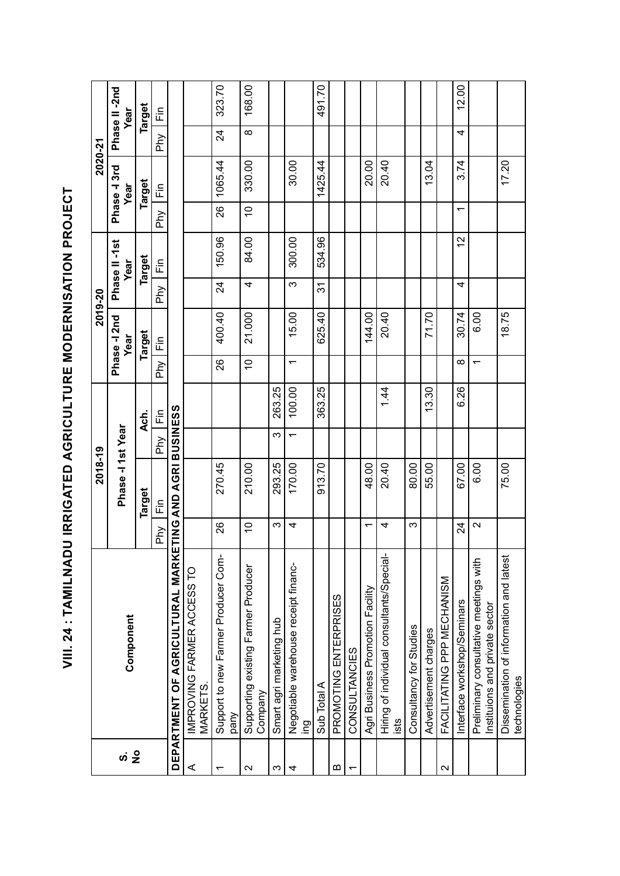VIII. 24 : TAMILNADU IRRIGATED AGRICULTURE MODERNISATION PROJECT **VIII. 24 : TAMILNADU IRRIGATED AGRICULTURE MODERNISATION PROJECT**

|                   |                                                                          |                | 2018-19           |                    |               |                          | 2019-20             |                |                       |             | 2020-21              |                  |                      |
|-------------------|--------------------------------------------------------------------------|----------------|-------------------|--------------------|---------------|--------------------------|---------------------|----------------|-----------------------|-------------|----------------------|------------------|----------------------|
| <u> ဟ</u>         | Component                                                                |                | Phase -I 1st Year |                    |               |                          | Phase - 2nd<br>Year |                | Phase II -1st<br>Year |             | Phase - 13rd<br>Year |                  | Phase II-2nd<br>Year |
| $\frac{1}{2}$     |                                                                          |                | Target            |                    | Ach.          |                          | <b>Target</b>       |                | Target                |             | Target               |                  | <b>Target</b>        |
|                   |                                                                          | Phy            | $\tilde{F}$       | $P_{\overline{P}}$ | $\frac{1}{2}$ | Phy                      | iΞ                  | Phy            | ίĔ                    | Phy         | iĒ                   | $\sum_{i=1}^{n}$ | ίĔ                   |
|                   | <b>DEPARTMENT OF AGRICULTURAL MARKET</b>                                 |                | TING AND AGRI     | <b>BUSINESS</b>    |               |                          |                     |                |                       |             |                      |                  |                      |
| ⋖                 | IMPROVING FARMER ACCESS TO<br><b>MARKETS</b>                             |                |                   |                    |               |                          |                     |                |                       |             |                      |                  |                      |
|                   | Support to new Farmer Producer Com-<br>pany                              | 88             | 270.45            |                    |               | 26                       | 400.40              | $\overline{2}$ | 150.96                | 26          | 1065.44              | $\overline{24}$  | 323.70               |
| $\mathbf{\Omega}$ | Supporting existing Farmer Producer<br>Company                           | $\overline{C}$ | 210.00            |                    |               | $\overline{C}$           | 21.000              | 4              | 84.00                 | $\tilde{0}$ | 330.00               | $\infty$         | 168.00               |
| ო                 | Smart agri marketing hub                                                 | ω              | 293.25            | ω                  | 263.25        |                          |                     |                |                       |             |                      |                  |                      |
| 4                 | Negotiable warehouse receipt financ-<br>gui                              | 4              | 170.00            |                    | 100.00        | $\overline{\phantom{0}}$ | 15.00               | ω              | 300.00                |             | 30.00                |                  |                      |
|                   | Sub Total A                                                              |                | 913.70            |                    | 363.25        |                          | 625.40              | $\overline{3}$ | 534.96                |             | 1425.44              |                  | 491.70               |
| മ                 | PROMOTING ENTERPRISES                                                    |                |                   |                    |               |                          |                     |                |                       |             |                      |                  |                      |
| ᡪ                 | CONSULTANCIES                                                            |                |                   |                    |               |                          |                     |                |                       |             |                      |                  |                      |
|                   | Agri Business Promotion Facility                                         | ᠇              | 48.00             |                    |               |                          | 144.00              |                |                       |             | 20.00                |                  |                      |
|                   | Hiring of individual consultants/Special-<br>ists                        | 4              | 20.40             |                    | 1.44          |                          | 20.40               |                |                       |             | 20.40                |                  |                      |
|                   | Consultancy for Studies                                                  | ო              | 80.00             |                    |               |                          |                     |                |                       |             |                      |                  |                      |
|                   | Advertisement charges                                                    |                | 55.00             |                    | 13.30         |                          | 71.70               |                |                       |             | 13.04                |                  |                      |
| Z                 | FACILITATING PPP MECHANISM                                               |                |                   |                    |               |                          |                     |                |                       |             |                      |                  |                      |
|                   | Interface workshop/Seminars                                              | 24             | 67.00             |                    | 6.26          | $\infty$                 | 30.74               | 4              | 12                    | ᡪ           | 3.74                 | 4                | 12.00                |
|                   | Preliminary consultative meetings with<br>Instituions and private sector | $\sim$         | 6.00              |                    |               | $\overline{\phantom{0}}$ | 6.00                |                |                       |             |                      |                  |                      |
|                   | Dissemination of information and latest<br>technologies                  |                | 75.00             |                    |               |                          | 18.75               |                |                       |             | 17.20                |                  |                      |